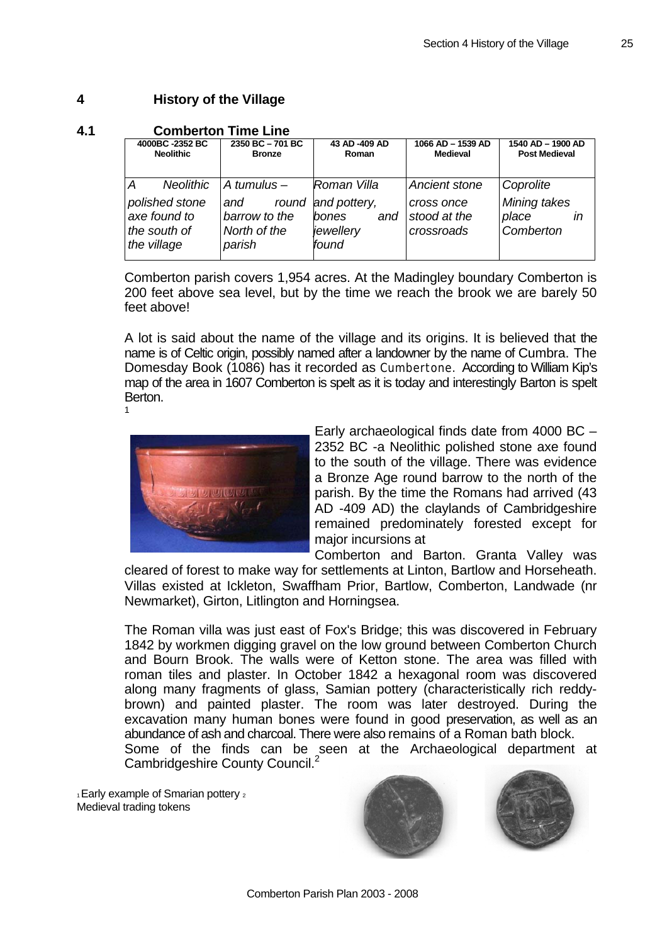# **4 History of the Village**

## **4.1 Comberton Time Line**

| 4000BC-2352 BC                                                                         | 2350 BC-701 BC                                                           | 43 AD-409 AD                                                                    | 1066 AD - 1539 AD                                         | 1540 AD - 1900 AD                                     |
|----------------------------------------------------------------------------------------|--------------------------------------------------------------------------|---------------------------------------------------------------------------------|-----------------------------------------------------------|-------------------------------------------------------|
| <b>Neolithic</b>                                                                       | <b>Bronze</b>                                                            | Roman                                                                           | <b>Medieval</b>                                           | <b>Post Medieval</b>                                  |
| <b>Neolithic</b><br>A<br>polished stone<br>axe found to<br>the south of<br>the village | A tumulus $-$<br>round<br>and<br>barrow to the<br>North of the<br>parish | <i>Roman Villa</i><br>and pottery,<br><i>bones</i><br>and<br>jewellery<br>found | Ancient stone<br>cross once<br>stood at the<br>crossroads | Coprolite<br>Mining takes<br>place<br>ın<br>Comberton |

Comberton parish covers 1,954 acres. At the Madingley boundary Comberton is 200 feet above sea level, but by the time we reach the brook we are barely 50 feet above!

A lot is said about the name of the village and its origins. It is believed that the name is of Celtic origin, possibly named after a landowner by the name of Cumbra. The Domesday Book (1086) has it recorded as Cumbertone. According to William Kip's map of the area in 1607 Comberton is spelt as it is today and interestingly Barton is spelt Berton.

1



Early archaeological finds date from 4000 BC – 2352 BC -a Neolithic polished stone axe found to the south of the village. There was evidence a Bronze Age round barrow to the north of the parish. By the time the Romans had arrived (43 AD -409 AD) the claylands of Cambridgeshire remained predominately forested except for major incursions at

Comberton and Barton. Granta Valley was cleared of forest to make way for settlements at Linton, Bartlow and Horseheath. Villas existed at Ickleton, Swaffham Prior, Bartlow, Comberton, Landwade (nr Newmarket), Girton, Litlington and Horningsea.

The Roman villa was just east of Fox's Bridge; this was discovered in February 1842 by workmen digging gravel on the low ground between Comberton Church and Bourn Brook. The walls were of Ketton stone. The area was filled with roman tiles and plaster. In October 1842 a hexagonal room was discovered along many fragments of glass, Samian pottery (characteristically rich reddybrown) and painted plaster. The room was later destroyed. During the excavation many human bones were found in good preservation, as well as an abundance of ash and charcoal. There were also remains of a Roman bath block. Some of the finds can be seen at the Archaeological department at Cambridgeshire County Council.<sup>2</sup>

1 Early example of Smarian pottery 2 Medieval trading tokens



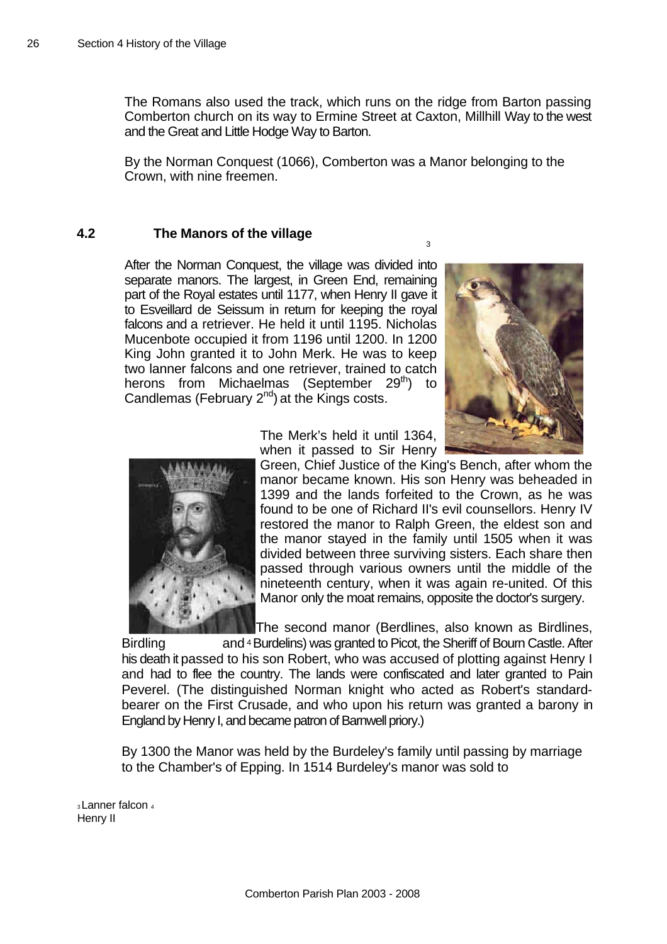The Romans also used the track, which runs on the ridge from Barton passing Comberton church on its way to Ermine Street at Caxton, Millhill Way to the west and the Great and Little Hodge Way to Barton.

By the Norman Conquest (1066), Comberton was a Manor belonging to the Crown, with nine freemen.

## **4.2 The Manors of the village**

After the Norman Conquest, the village was divided into separate manors. The largest, in Green End, remaining part of the Royal estates until 1177, when Henry II gave it to Esveillard de Seissum in return for keeping the royal falcons and a retriever. He held it until 1195. Nicholas Mucenbote occupied it from 1196 until 1200. In 1200 King John granted it to John Merk. He was to keep two lanner falcons and one retriever, trained to catch herons from Michaelmas (September 29<sup>th</sup>) to Candlemas (February  $2^{nd}$ ) at the Kings costs.





The Merk's held it until 1364, when it passed to Sir Henry

Green, Chief Justice of the King's Bench, after whom the manor became known. His son Henry was beheaded in 1399 and the lands forfeited to the Crown, as he was found to be one of Richard II's evil counsellors. Henry IV restored the manor to Ralph Green, the eldest son and the manor stayed in the family until 1505 when it was divided between three surviving sisters. Each share then passed through various owners until the middle of the nineteenth century, when it was again re-united. Of this Manor only the moat remains, opposite the doctor's surgery.

3

The second manor (Berdlines, also known as Birdlines,

Birdling and <sup>4</sup> Burdelins) was granted to Picot, the Sheriff of Bourn Castle. After his death it passed to his son Robert, who was accused of plotting against Henry I and had to flee the country. The lands were confiscated and later granted to Pain Peverel. (The distinguished Norman knight who acted as Robert's standardbearer on the First Crusade, and who upon his return was granted a barony in England by Henry I, and became patron of Barnwell priory.)

By 1300 the Manor was held by the Burdeley's family until passing by marriage to the Chamber's of Epping. In 1514 Burdeley's manor was sold to

<sub>3</sub> Lanner falcon 4 Henry II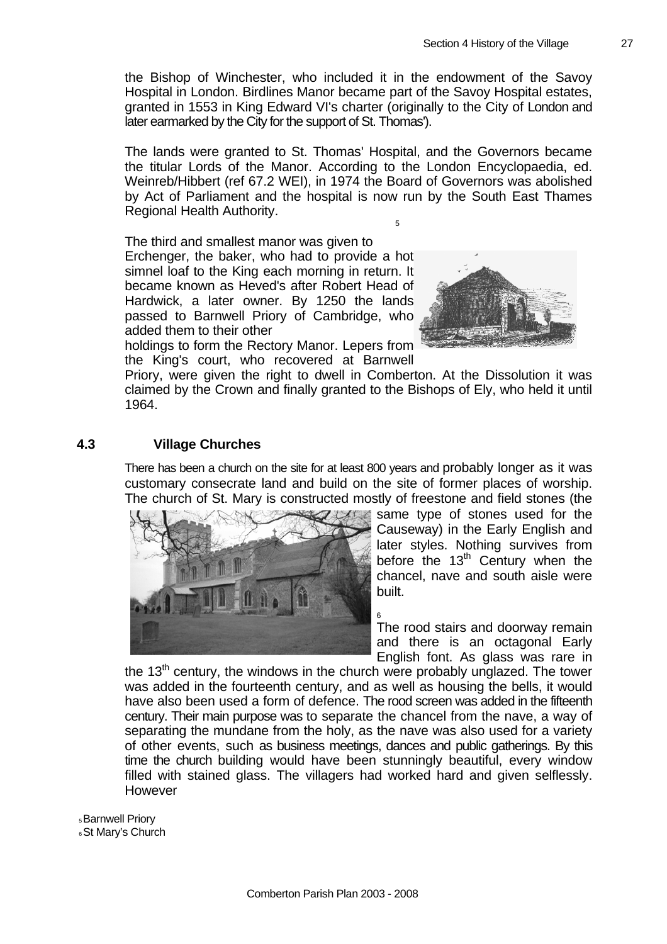the Bishop of Winchester, who included it in the endowment of the Savoy Hospital in London. Birdlines Manor became part of the Savoy Hospital estates, granted in 1553 in King Edward VI's charter (originally to the City of London and later earmarked by the City for the support of St. Thomas').

The lands were granted to St. Thomas' Hospital, and the Governors became the titular Lords of the Manor. According to the London Encyclopaedia, ed. Weinreb/Hibbert (ref 67.2 WEI), in 1974 the Board of Governors was abolished by Act of Parliament and the hospital is now run by the South East Thames Regional Health Authority. 5

The third and smallest manor was given to Erchenger, the baker, who had to provide a hot simnel loaf to the King each morning in return. It became known as Heved's after Robert Head of Hardwick, a later owner. By 1250 the lands passed to Barnwell Priory of Cambridge, who added them to their other



holdings to form the Rectory Manor. Lepers from the King's court, who recovered at Barnwell

Priory, were given the right to dwell in Comberton. At the Dissolution it was claimed by the Crown and finally granted to the Bishops of Ely, who held it until 1964.

## **4.3 Village Churches**

There has been a church on the site for at least 800 years and probably longer as it was customary consecrate land and build on the site of former places of worship. The church of St. Mary is constructed mostly of freestone and field stones (the



same type of stones used for the Causeway) in the Early English and later styles. Nothing survives from before the  $13<sup>th</sup>$  Century when the chancel, nave and south aisle were built.

6 The rood stairs and doorway remain and there is an octagonal Early English font. As glass was rare in

the  $13<sup>th</sup>$  century, the windows in the church were probably unglazed. The tower was added in the fourteenth century, and as well as housing the bells, it would have also been used a form of defence. The rood screen was added in the fifteenth century. Their main purpose was to separate the chancel from the nave, a way of separating the mundane from the holy, as the nave was also used for a variety of other events, such as business meetings, dances and public gatherings. By this time the church building would have been stunningly beautiful, every window filled with stained glass. The villagers had worked hard and given selflessly. However

5 Barnwell Priory **6 St Mary's Church**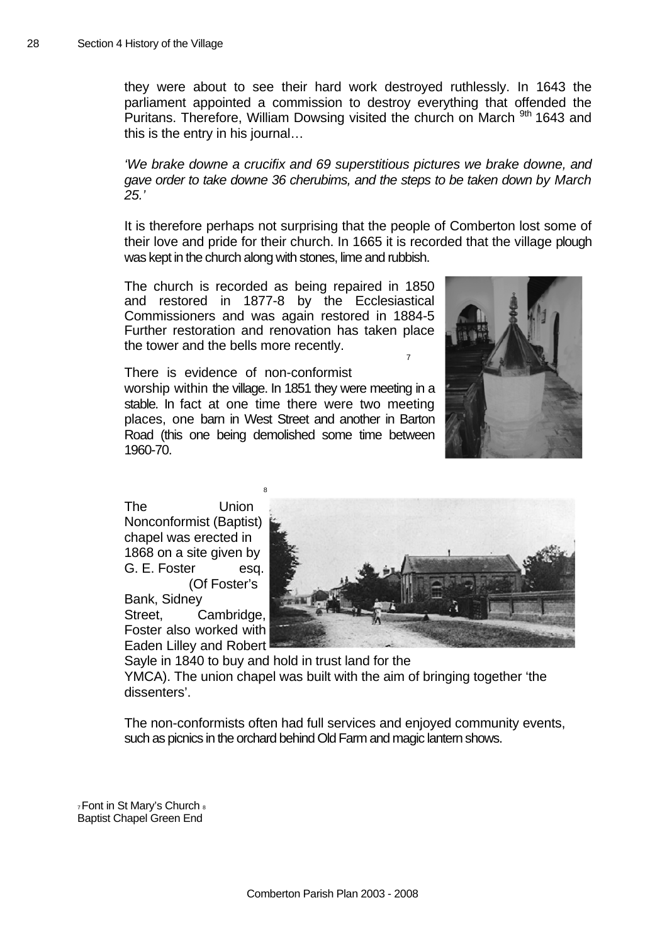they were about to see their hard work destroyed ruthlessly. In 1643 the parliament appointed a commission to destroy everything that offended the Puritans. Therefore, William Dowsing visited the church on March <sup>9th</sup> 1643 and this is the entry in his journal…

*'We brake downe a crucifix and 69 superstitious pictures we brake downe, and gave order to take downe 36 cherubims, and the steps to be taken down by March 25.'* 

It is therefore perhaps not surprising that the people of Comberton lost some of their love and pride for their church. In 1665 it is recorded that the village plough was kept in the church along with stones, lime and rubbish.

The church is recorded as being repaired in 1850 and restored in 1877-8 by the Ec clesiastical Commissioners and was again restored in 1884-5 Further restoration and renov ation has taken place the tower and t he bells more recently. 7



There is evidence of no n-conformist worship within the village. In 1851 th ey were meeting in a stable. In fact at one time there were two meeting places, one barn in West S treet and another in Barton Road (this one being dem olished some time between 1960-70.

Foster also worked with Eaden Lilley and Robert The Union Nonconformist (Baptist) chapel was erected in 1868 on a site given by G. E. Foster esq. (Of Foster's Bank, Sidney Street, Cambridge,



Sayle in 1840 to buy and hold in trust land for the YMCA). The union chapel was built with the aim of bringing together 'the dissenters'.

The non-conformists often had full services and enjoyed community events, such as picnics in the orchard behind Old Farm and magic lantern shows.

7 Font in S t Mary's Church 8 Baptist C hapel Green End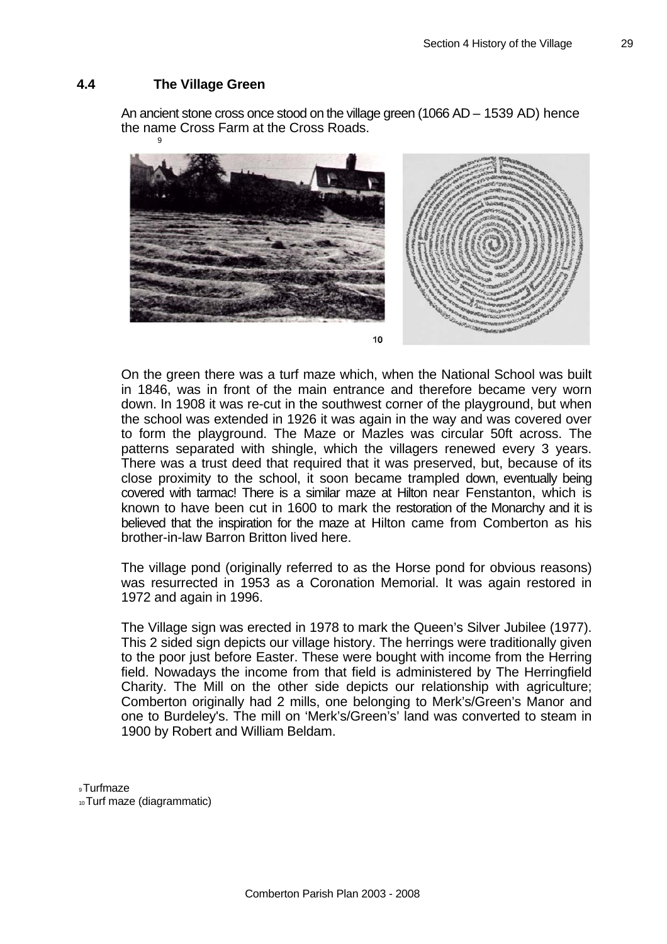### **4.4 The Villa ge Green**

An ancient stone cross once stood on the village green (1066 AD – 1539 AD) hence the name Cross Farm at the Cross Roads. 9



 $10$ 

On the green there was a turf maze which, when the National School was built in 1846, was in front of the main entrance and therefore became very worn down. In 1908 it was re-cut in the southwest corner of the playground, but when the school was extended in 1926 it was again in the way and was covered over to form the playground. The Maze or Mazles was circular 50ft across. The patterns separated with shingle, which the villagers renewed every 3 years. There was a trust deed that required that it was preserved, but, because of its close proximity to the school, it soon became trampled down, eventually being covered with tarmac! There is a similar maze at Hilton near Fenstanton, which is known to have been cut in 1600 to mark the restoration of the Monarchy and it is believed that the inspiration for the maze at Hilton came from Comberton as his brother-in-law Barron Britton lived here.

The village pond (originally referred to as the Horse pond for obvious reasons) was resurrected in 1953 as a Coronation Memorial. It was again restored in 1972 and again in 1996.

The Village sign was erected in 1978 to mark the Queen's Silver Jubilee (1977). This 2 sided sign depicts our village history. The herrings were traditionally given to the poor just before Easter. These were bought with income from the Herring field. Nowadays the income from that field is administered by The Herringfield Charity. The Mill on the other side depicts our relationship with agriculture; Comberton originally had 2 mills, one belonging to Merk's/Green's Manor and one to Burdeley's. The mill on 'Merk's/Green's' land was converted to steam in 1900 by Robert and William Beldam.

9 Turfmaze 10 Turf maze (diagrammatic)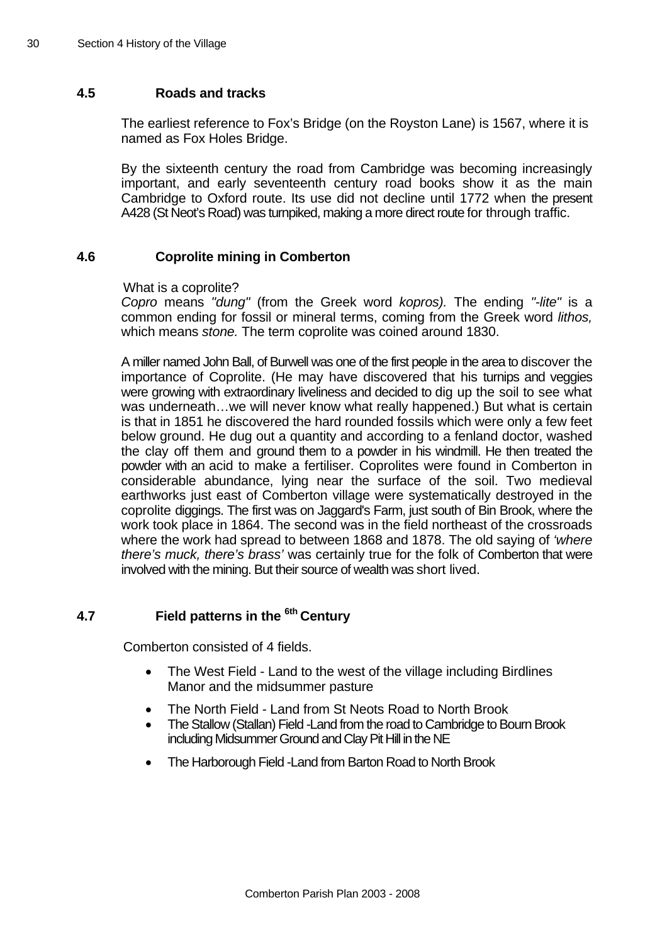# **4.5 Roads and tracks**

The earliest reference to Fox's Bridge (on the Royston Lane) is 1567, where it is named as Fox Holes Bridge.

By the sixteenth century the road from Cambridge was becoming increasingly important, and early seventeenth century road books show it as the main Cambridge to Oxford route. Its use did not decline until 1772 when the present A428 (St Neot's Road) was turnpiked, making a more direct route for through traffic.

## **4.6 Coprolite mining in Comberton**

What is a coprolite?

*Copro* means *"dung"* (from the Greek word *kopros).* The ending *"-lite"* is a common ending for fossil or mineral terms, coming from the Greek word *lithos,*  which means *stone.* The term coprolite was coined around 1830.

A miller named John Ball, of Burwell was one of the first people in the area to discover the where the work had spread to between 1868 and 1878. The old saying of *'where there's muck, there's brass'* was certainly true for the folk of Comberton that were importance of Coprolite. (He may have discovered that his turnips and veggies were growing with extraordinary liveliness and decided to dig up the soil to see what was underneath…we will never know what really happened.) But what is certain is that in 1851 he discovered the hard rounded fossils which were only a few feet below ground. He dug out a quantity and according to a fenland doctor, washed the clay off them and ground them to a powder in his windmill. He then treated the powder with an acid to make a fertiliser. Coprolites were found in Comberton in considerable abundance, lying near the surface of the soil. Two medieval earthworks just east of Comberton village were systematically destroyed in the coprolite diggings. The first was on Jaggard's Farm, just south of Bin Brook, where the work took place in 1864. The second was in the field northeast of the crossroads involved with the mining. But their source of wealth was short lived.

### **7 Field patterns in the <sup>6th</sup> Century 4**

Comberton consisted of 4 fields.

- The West Field Land to the west of the village including Birdlines Manor and the midsummer pasture
- The North Field Land from St Neots Road to North Brook
- including Midsummer Ground and Clay Pit Hill in the NE • The Stallow (Stallan) Field -Land from the road to Cambridge to Bourn Brook
- The Harborough Field -Land from Barton Road to North Brook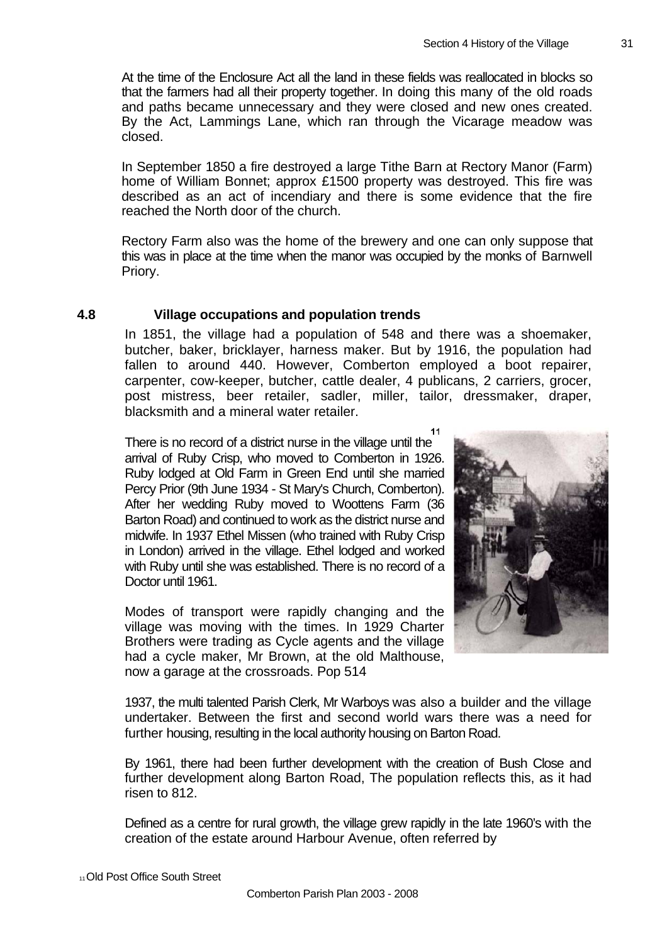At the time of the Enclosure Act all the land in these fields was reallocated in blocks so that the farmers had all their property together. In doing this many of the old roads and paths became unnecessary and they were closed and new ones created. By the Act, Lammings Lane, which ran through the Vicarage meadow was closed.

In September 1850 a fire destroyed a large Tithe Barn at Rectory Manor (Farm) home of William Bonnet; approx £1500 property was destroyed. This fire was described as an act of incendiary and there is some evidence that the fire reached the North door of the church.

Rectory Farm also was the home of the brewery and one can only suppose that this was in place at the time when the manor was occupied by the monks of Barnwell Priory.

#### **4.8 Village occupations and population trends**

In 1851, the village had a population of 548 and there was a shoemaker, butcher, baker, bricklayer, harness maker. But by 1916, the population had fallen to around 440. However, Comberton employed a boot repairer, carpenter, cow-keeper, butcher, cattle dealer, 4 publicans, 2 carriers, grocer, post mistress, beer retailer, sadler, miller, tailor, dressmaker, draper, blacksmith and a mineral water retailer.

 $11$ 

Doctor until 1961. There is no record of a district nurse in the village until the arrival of Ruby Crisp, who moved to Comberton in 1926. Ruby lodged at Old Farm in Green End until she married Percy Prior (9th June 1934 - St Mary's Church, Comberton). After her wedding Ruby moved to Woottens Farm (36 Barton Road) and continued to work as the district nurse and midwife. In 1937 Ethel Missen (who trained with Ruby Crisp in London) arrived in the village. Ethel lodged and worked with Ruby until she was established. There is no record of a

Modes of transport were rapidly changing and the village was moving with the times. In 1929 Charter Brothers were trading as Cycle agents and the village had a cycle maker, Mr Brown, at the old Malthouse, now a garage at the crossroads. Pop 514



1937, the multi talented Parish Clerk, Mr Warboys was also a builder and the village undertaker. Between the first and second world wars there was a need for further housing, resulting in the local authority housing on Barton Road.

By 1961, there had been further development with the creation of Bush Close and further development along Barton Road, The population reflects this, as it had risen to 812.

Defined as a centre for rural growth, the village grew rapidly in the late 1960's with the creation of the estate around Harbour Avenue, often referred by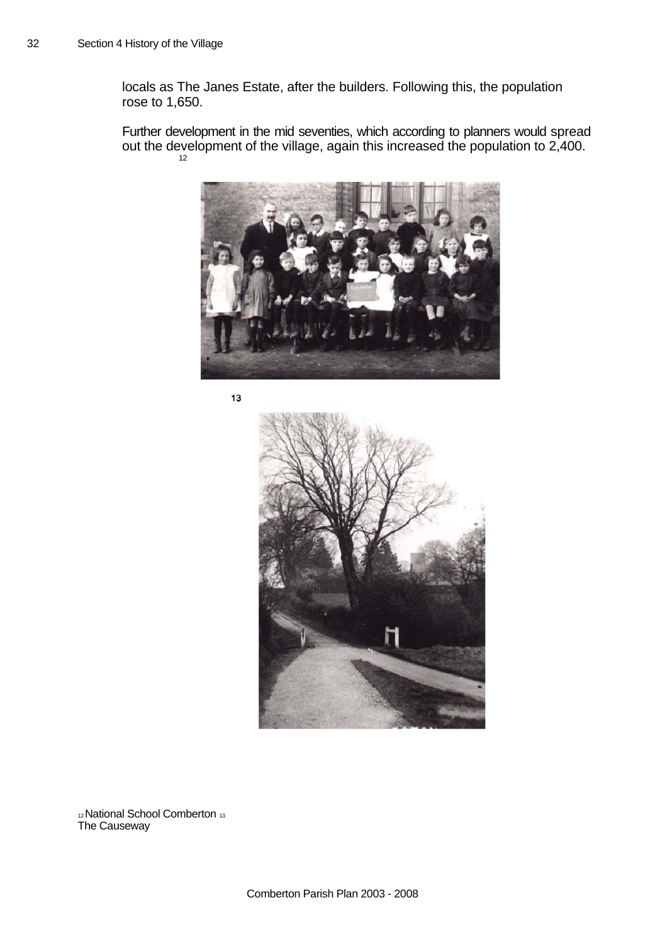locals as The Janes Estate, after the builders. Following this, the population rose to 1,650.

Further development in the mid seventies, which according to planners would spread out the development of the village, again this increased the population to 2,400. 12



13



12 National School Comberton <sup>13</sup> The Caus eway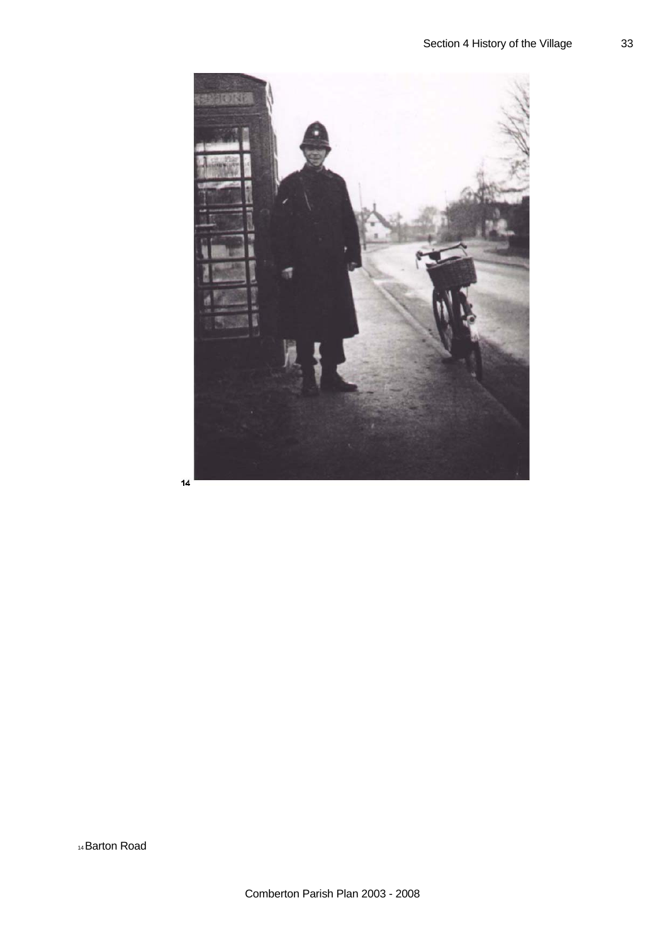

 $14$ 

14 Barton Road